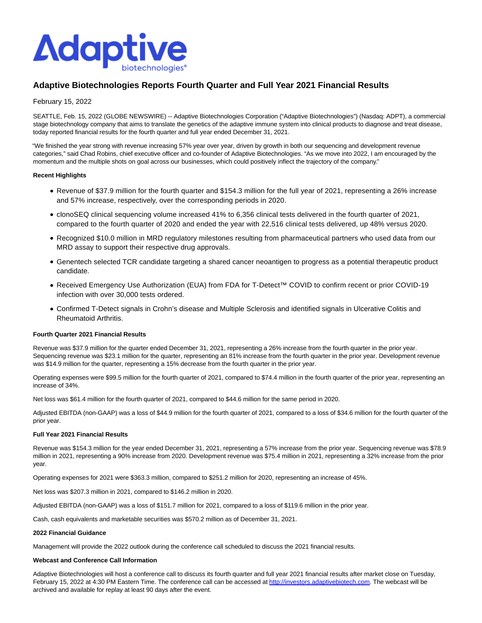

# **Adaptive Biotechnologies Reports Fourth Quarter and Full Year 2021 Financial Results**

### February 15, 2022

SEATTLE, Feb. 15, 2022 (GLOBE NEWSWIRE) -- Adaptive Biotechnologies Corporation ("Adaptive Biotechnologies") (Nasdaq: ADPT), a commercial stage biotechnology company that aims to translate the genetics of the adaptive immune system into clinical products to diagnose and treat disease, today reported financial results for the fourth quarter and full year ended December 31, 2021.

"We finished the year strong with revenue increasing 57% year over year, driven by growth in both our sequencing and development revenue categories," said Chad Robins, chief executive officer and co-founder of Adaptive Biotechnologies. "As we move into 2022, I am encouraged by the momentum and the multiple shots on goal across our businesses, which could positively inflect the trajectory of the company."

### **Recent Highlights**

- Revenue of \$37.9 million for the fourth quarter and \$154.3 million for the full year of 2021, representing a 26% increase and 57% increase, respectively, over the corresponding periods in 2020.
- clonoSEQ clinical sequencing volume increased 41% to 6,356 clinical tests delivered in the fourth quarter of 2021, compared to the fourth quarter of 2020 and ended the year with 22,516 clinical tests delivered, up 48% versus 2020.
- Recognized \$10.0 million in MRD regulatory milestones resulting from pharmaceutical partners who used data from our MRD assay to support their respective drug approvals.
- Genentech selected TCR candidate targeting a shared cancer neoantigen to progress as a potential therapeutic product candidate.
- Received Emergency Use Authorization (EUA) from FDA for T-Detect™ COVID to confirm recent or prior COVID-19 infection with over 30,000 tests ordered.
- Confirmed T-Detect signals in Crohn's disease and Multiple Sclerosis and identified signals in Ulcerative Colitis and Rheumatoid Arthritis.

#### **Fourth Quarter 2021 Financial Results**

Revenue was \$37.9 million for the quarter ended December 31, 2021, representing a 26% increase from the fourth quarter in the prior year. Sequencing revenue was \$23.1 million for the quarter, representing an 81% increase from the fourth quarter in the prior year. Development revenue was \$14.9 million for the quarter, representing a 15% decrease from the fourth quarter in the prior year.

Operating expenses were \$99.5 million for the fourth quarter of 2021, compared to \$74.4 million in the fourth quarter of the prior year, representing an increase of 34%.

Net loss was \$61.4 million for the fourth quarter of 2021, compared to \$44.6 million for the same period in 2020.

Adjusted EBITDA (non-GAAP) was a loss of \$44.9 million for the fourth quarter of 2021, compared to a loss of \$34.6 million for the fourth quarter of the prior year.

#### **Full Year 2021 Financial Results**

Revenue was \$154.3 million for the year ended December 31, 2021, representing a 57% increase from the prior year. Sequencing revenue was \$78.9 million in 2021, representing a 90% increase from 2020. Development revenue was \$75.4 million in 2021, representing a 32% increase from the prior year.

Operating expenses for 2021 were \$363.3 million, compared to \$251.2 million for 2020, representing an increase of 45%.

Net loss was \$207.3 million in 2021, compared to \$146.2 million in 2020.

Adjusted EBITDA (non-GAAP) was a loss of \$151.7 million for 2021, compared to a loss of \$119.6 million in the prior year.

Cash, cash equivalents and marketable securities was \$570.2 million as of December 31, 2021.

#### **2022 Financial Guidance**

Management will provide the 2022 outlook during the conference call scheduled to discuss the 2021 financial results.

### **Webcast and Conference Call Information**

Adaptive Biotechnologies will host a conference call to discuss its fourth quarter and full year 2021 financial results after market close on Tuesday, February 15, 2022 at 4:30 PM Eastern Time. The conference call can be accessed a[t http://investors.adaptivebiotech.com.](https://www.globenewswire.com/Tracker?data=DDMu1XDbfkI7Fbs5ZgepUZPPsgGcWJPNL199i9kQzG1HMlnXzrL0D00zWCKXiuZOqpeTShaEZDztUyuNniGgWGsn6rGZ8i3PKy0xpPTbbvpvPMT1xbIYHiSCU2mGbhM6) The webcast will be archived and available for replay at least 90 days after the event.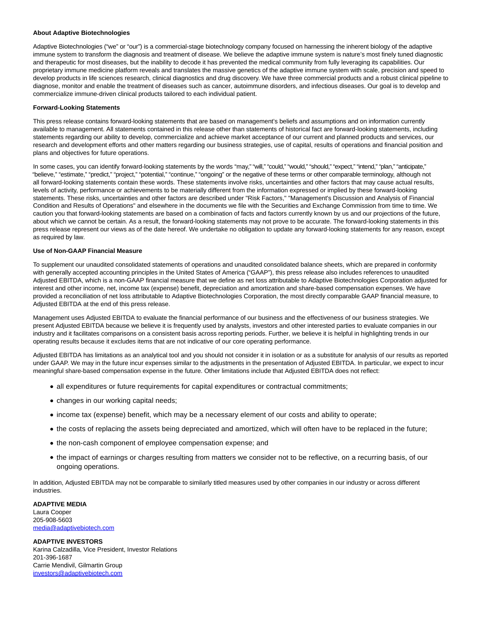### **About Adaptive Biotechnologies**

Adaptive Biotechnologies ("we" or "our") is a commercial-stage biotechnology company focused on harnessing the inherent biology of the adaptive immune system to transform the diagnosis and treatment of disease. We believe the adaptive immune system is nature's most finely tuned diagnostic and therapeutic for most diseases, but the inability to decode it has prevented the medical community from fully leveraging its capabilities. Our proprietary immune medicine platform reveals and translates the massive genetics of the adaptive immune system with scale, precision and speed to develop products in life sciences research, clinical diagnostics and drug discovery. We have three commercial products and a robust clinical pipeline to diagnose, monitor and enable the treatment of diseases such as cancer, autoimmune disorders, and infectious diseases. Our goal is to develop and commercialize immune-driven clinical products tailored to each individual patient.

### **Forward-Looking Statements**

This press release contains forward-looking statements that are based on management's beliefs and assumptions and on information currently available to management. All statements contained in this release other than statements of historical fact are forward-looking statements, including statements regarding our ability to develop, commercialize and achieve market acceptance of our current and planned products and services, our research and development efforts and other matters regarding our business strategies, use of capital, results of operations and financial position and plans and objectives for future operations.

In some cases, you can identify forward-looking statements by the words "may," "will," "could," "would," "should," "expect," "intend," "plan," "anticipate," "believe," "estimate," "predict," "project," "potential," "continue," "ongoing" or the negative of these terms or other comparable terminology, although not all forward-looking statements contain these words. These statements involve risks, uncertainties and other factors that may cause actual results, levels of activity, performance or achievements to be materially different from the information expressed or implied by these forward-looking statements. These risks, uncertainties and other factors are described under "Risk Factors," "Management's Discussion and Analysis of Financial Condition and Results of Operations" and elsewhere in the documents we file with the Securities and Exchange Commission from time to time. We caution you that forward-looking statements are based on a combination of facts and factors currently known by us and our projections of the future, about which we cannot be certain. As a result, the forward-looking statements may not prove to be accurate. The forward-looking statements in this press release represent our views as of the date hereof. We undertake no obligation to update any forward-looking statements for any reason, except as required by law.

## **Use of Non-GAAP Financial Measure**

To supplement our unaudited consolidated statements of operations and unaudited consolidated balance sheets, which are prepared in conformity with generally accepted accounting principles in the United States of America ("GAAP"), this press release also includes references to unaudited Adjusted EBITDA, which is a non-GAAP financial measure that we define as net loss attributable to Adaptive Biotechnologies Corporation adjusted for interest and other income, net, income tax (expense) benefit, depreciation and amortization and share-based compensation expenses. We have provided a reconciliation of net loss attributable to Adaptive Biotechnologies Corporation, the most directly comparable GAAP financial measure, to Adjusted EBITDA at the end of this press release.

Management uses Adjusted EBITDA to evaluate the financial performance of our business and the effectiveness of our business strategies. We present Adjusted EBITDA because we believe it is frequently used by analysts, investors and other interested parties to evaluate companies in our industry and it facilitates comparisons on a consistent basis across reporting periods. Further, we believe it is helpful in highlighting trends in our operating results because it excludes items that are not indicative of our core operating performance.

Adjusted EBITDA has limitations as an analytical tool and you should not consider it in isolation or as a substitute for analysis of our results as reported under GAAP. We may in the future incur expenses similar to the adjustments in the presentation of Adjusted EBITDA. In particular, we expect to incur meaningful share-based compensation expense in the future. Other limitations include that Adjusted EBITDA does not reflect:

- all expenditures or future requirements for capital expenditures or contractual commitments;
- changes in our working capital needs;
- income tax (expense) benefit, which may be a necessary element of our costs and ability to operate;
- the costs of replacing the assets being depreciated and amortized, which will often have to be replaced in the future;
- the non-cash component of employee compensation expense; and
- the impact of earnings or charges resulting from matters we consider not to be reflective, on a recurring basis, of our ongoing operations.

In addition, Adjusted EBITDA may not be comparable to similarly titled measures used by other companies in our industry or across different industries.

# **ADAPTIVE MEDIA**

Laura Cooper 205-908-5603 [media@adaptivebiotech.com](https://www.globenewswire.com/Tracker?data=_bZ3UFXg4uFxtJ929I-8G34nQSHKk8HQERTrK9q1D_OQOktrmTxfxUYQW8gDK6PTK3tUHR1cFT6SAe5HGs8vTkPuLhjR_rd6esgylN2pmwg=)

## **ADAPTIVE INVESTORS**

Karina Calzadilla, Vice President, Investor Relations 201-396-1687 Carrie Mendivil, Gilmartin Group [investors@adaptivebiotech.com](https://www.globenewswire.com/Tracker?data=i933bwz2uPwl4IqBazpBvM4q5yY4hsNVaRSYvPFwZLGKq1s2AB8V9HdYVTGjvxaPk382WhTR9z0P9WHaBf6W3ONm2LqiIiJ_h2kye0fYYMjrKPWiNztWoLs-Ip-6WZ9i)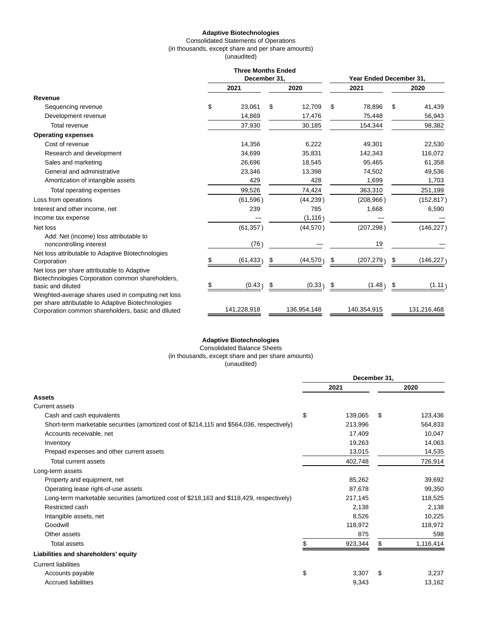# **Adaptive Biotechnologies**

# Consolidated Statements of Operations (in thousands, except share and per share amounts) (unaudited)

|                                                                                                                                                                |              | <b>Three Months Ended</b> |    |             |                         |             |    |             |
|----------------------------------------------------------------------------------------------------------------------------------------------------------------|--------------|---------------------------|----|-------------|-------------------------|-------------|----|-------------|
|                                                                                                                                                                | December 31, |                           |    |             | Year Ended December 31, |             |    |             |
|                                                                                                                                                                |              | 2021                      |    | 2020        |                         | 2021        |    | 2020        |
| Revenue                                                                                                                                                        |              |                           |    |             |                         |             |    |             |
| Sequencing revenue                                                                                                                                             | \$           | 23,061                    | \$ | 12,709      | \$                      | 78,896      | \$ | 41,439      |
| Development revenue                                                                                                                                            |              | 14,869                    |    | 17,476      |                         | 75,448      |    | 56,943      |
| Total revenue                                                                                                                                                  |              | 37,930                    |    | 30,185      |                         | 154,344     |    | 98,382      |
| <b>Operating expenses</b>                                                                                                                                      |              |                           |    |             |                         |             |    |             |
| Cost of revenue                                                                                                                                                |              | 14,356                    |    | 6,222       |                         | 49,301      |    | 22,530      |
| Research and development                                                                                                                                       |              | 34,699                    |    | 35,831      |                         | 142,343     |    | 116,072     |
| Sales and marketing                                                                                                                                            |              | 26,696                    |    | 18,545      |                         | 95,465      |    | 61,358      |
| General and administrative                                                                                                                                     |              | 23,346                    |    | 13,398      |                         | 74,502      |    | 49,536      |
| Amortization of intangible assets                                                                                                                              |              | 429                       |    | 428         |                         | 1,699       |    | 1,703       |
| Total operating expenses                                                                                                                                       |              | 99,526                    |    | 74,424      |                         | 363,310     |    | 251,199     |
| Loss from operations                                                                                                                                           |              | (61, 596)                 |    | (44, 239)   |                         | (208, 966)  |    | (152, 817)  |
| Interest and other income, net                                                                                                                                 |              | 239                       |    | 785         |                         | 1,668       |    | 6,590       |
| Income tax expense                                                                                                                                             |              |                           |    | (1, 116)    |                         |             |    |             |
| Net loss                                                                                                                                                       |              | (61, 357)                 |    | (44, 570)   |                         | (207, 298)  |    | (146, 227)  |
| Add: Net (income) loss attributable to<br>noncontrolling interest                                                                                              |              | (76)                      |    |             |                         | 19          |    |             |
| Net loss attributable to Adaptive Biotechnologies<br>Corporation                                                                                               | \$           | (61, 433)                 | \$ | (44, 570)   | S                       | (207, 279)  |    | (146, 227)  |
| Net loss per share attributable to Adaptive<br>Biotechnologies Corporation common shareholders,<br>basic and diluted                                           |              | (0.43)                    | \$ | (0.33)      | \$                      | (1.48)      |    | (1.11)      |
| Weighted-average shares used in computing net loss<br>per share attributable to Adaptive Biotechnologies<br>Corporation common shareholders, basic and diluted |              | 141,228,918               |    | 136,954,148 |                         | 140,354,915 |    | 131,216,468 |

# **Adaptive Biotechnologies**

# Consolidated Balance Sheets (in thousands, except share and per share amounts)

(unaudited)

|                                                                                            | December 31, |         |    |           |
|--------------------------------------------------------------------------------------------|--------------|---------|----|-----------|
|                                                                                            |              | 2021    |    | 2020      |
| <b>Assets</b>                                                                              |              |         |    |           |
| <b>Current assets</b>                                                                      |              |         |    |           |
| Cash and cash equivalents                                                                  | \$           | 139,065 | \$ | 123,436   |
| Short-term marketable securities (amortized cost of \$214,115 and \$564,036, respectively) |              | 213,996 |    | 564,833   |
| Accounts receivable, net                                                                   |              | 17,409  |    | 10,047    |
| Inventory                                                                                  |              | 19,263  |    | 14,063    |
| Prepaid expenses and other current assets                                                  |              | 13,015  |    | 14,535    |
| Total current assets                                                                       |              | 402,748 |    | 726,914   |
| Long-term assets                                                                           |              |         |    |           |
| Property and equipment, net                                                                |              | 85,262  |    | 39,692    |
| Operating lease right-of-use assets                                                        |              | 87,678  |    | 99,350    |
| Long-term marketable securities (amortized cost of \$218,163 and \$118,429, respectively)  |              | 217,145 |    | 118,525   |
| Restricted cash                                                                            |              | 2,138   |    | 2,138     |
| Intangible assets, net                                                                     |              | 8,526   |    | 10,225    |
| Goodwill                                                                                   |              | 118,972 |    | 118,972   |
| Other assets                                                                               |              | 875     |    | 598       |
| <b>Total assets</b>                                                                        |              | 923,344 |    | 1,116,414 |
| Liabilities and shareholders' equity                                                       |              |         |    |           |
| <b>Current liabilities</b>                                                                 |              |         |    |           |
| Accounts payable                                                                           | \$           | 3,307   | \$ | 3,237     |
| <b>Accrued liabilities</b>                                                                 |              | 9,343   |    | 13,162    |